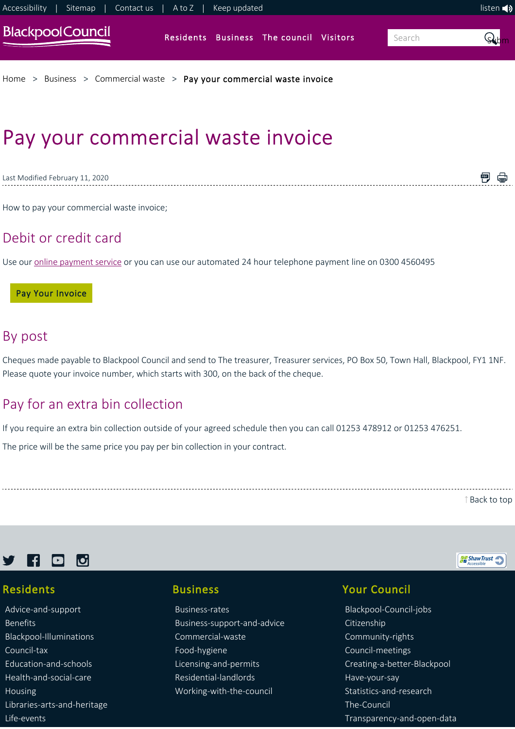

# Pay your commercial waste invoice

Last Modified February 11, 2020

How to pay your commercial waste invoice;

### Debit or credit card

Use our [online payment service](https://www.civicaepay.co.uk/BlackpoolEstore/estore/default/Catalog/Index?fundcode=14) or you can use our automated 24 hour telephone payment line on 0300 4560495

#### Pay Your Invoice

### By post

Cheques made payable to Blackpool Council and send to The treasurer, Treasurer services, PO Box 50, Town Hall, Blackpool, FY1 1NF. Please quote your invoice number, which starts with 300, on the back of the cheque.

## Pay for an extra bin collection

If you require an extra bin collection outside of your agreed schedule then you can call 01253 478912 or 01253 476251.

The price will be the same price you pay per bin collection in your contract.

[Back to top](https://www.blackpool.gov.uk/Business/Commercial-waste/Pay-your-commercial-waste-invoice.aspx#)

ShawTrust

■ ●



### Residents

[Advice‐and‐support](https://www.blackpool.gov.uk/Residents/Advice-and-support/) [Benefits](https://www.blackpool.gov.uk/Residents/Benefits/) [Blackpool‐Illuminations](https://www.blackpool.gov.uk/Residents/Blackpool-Illuminations/) [Council‐tax](https://www.blackpool.gov.uk/Residents/Council-tax/) [Education‐and‐schools](https://www.blackpool.gov.uk/Residents/Education-and-schools/) [Health‐and‐social‐care](https://www.blackpool.gov.uk/Residents/Health-and-social-care/) [Housing](https://www.blackpool.gov.uk/Residents/Housing/) [Libraries‐arts‐and‐heritage](https://www.blackpool.gov.uk/Residents/Libraries-arts-and-heritage/) [Life‐events](https://www.blackpool.gov.uk/Residents/Life-events/)

#### Business

[Business‐rates](https://www.blackpool.gov.uk/Business/Business-rates/) [Business‐support‐and‐advice](https://www.blackpool.gov.uk/Business/Business-support-and-advice/) [Commercial‐waste](https://www.blackpool.gov.uk/Business/Commercial-waste/) [Food‐hygiene](https://www.blackpool.gov.uk/Business/Food-hygiene/) [Licensing‐and‐permits](https://www.blackpool.gov.uk/Business/Licensing-and-permits/) [Residential‐landlords](https://www.blackpool.gov.uk/Business/Residential-landlords/) [Working‐with‐the‐council](https://www.blackpool.gov.uk/Business/Working-with-the-council/)

### Your Council

[Blackpool‐Council‐jobs](https://www.blackpool.gov.uk/Your-Council/Blackpool-Council-jobs/) [Citizenship](https://www.blackpool.gov.uk/Your-Council/Citizenship/) [Community‐rights](https://www.blackpool.gov.uk/Your-Council/Community-rights/) [Council‐meetings](https://www.blackpool.gov.uk/Your-Council/Council-meetings/) [Creating‐a‐better‐Blackpool](https://www.blackpool.gov.uk/Your-Council/Creating-a-better-Blackpool/) [Have‐your‐say](https://www.blackpool.gov.uk/Your-Council/Have-your-say/) [Statistics‐and‐research](https://www.blackpool.gov.uk/Your-Council/Statistics-and-research/) [The‐Council](https://www.blackpool.gov.uk/Your-Council/The-Council/) [Transparency‐and‐open‐data](https://www.blackpool.gov.uk/Your-Council/Transparency-and-open-data/)